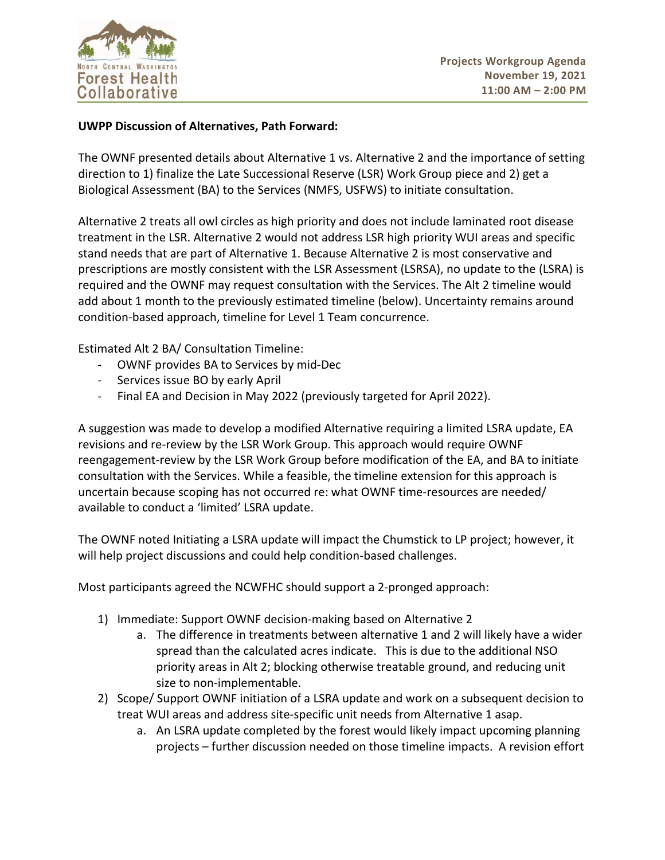

## **UWPP Discussion of Alternatives, Path Forward:**

The OWNF presented details about Alternative 1 vs. Alternative 2 and the importance of setting direction to 1) finalize the Late Successional Reserve (LSR) Work Group piece and 2) get a Biological Assessment (BA) to the Services (NMFS, USFWS) to initiate consultation.

Alternative 2 treats all owl circles as high priority and does not include laminated root disease treatment in the LSR. Alternative 2 would not address LSR high priority WUI areas and specific stand needs that are part of Alternative 1. Because Alternative 2 is most conservative and prescriptions are mostly consistent with the LSR Assessment (LSRSA), no update to the (LSRA) is required and the OWNF may request consultation with the Services. The Alt 2 timeline would add about 1 month to the previously estimated timeline (below). Uncertainty remains around condition-based approach, timeline for Level 1 Team concurrence.

Estimated Alt 2 BA/ Consultation Timeline:

- OWNF provides BA to Services by mid-Dec
- Services issue BO by early April
- Final EA and Decision in May 2022 (previously targeted for April 2022).

A suggestion was made to develop a modified Alternative requiring a limited LSRA update, EA revisions and re-review by the LSR Work Group. This approach would require OWNF reengagement-review by the LSR Work Group before modification of the EA, and BA to initiate consultation with the Services. While a feasible, the timeline extension for this approach is uncertain because scoping has not occurred re: what OWNF time-resources are needed/ available to conduct a 'limited' LSRA update.

The OWNF noted Initiating a LSRA update will impact the Chumstick to LP project; however, it will help project discussions and could help condition-based challenges.

Most participants agreed the NCWFHC should support a 2-pronged approach:

- 1) Immediate: Support OWNF decision-making based on Alternative 2
	- a. The difference in treatments between alternative 1 and 2 will likely have a wider spread than the calculated acres indicate. This is due to the additional NSO priority areas in Alt 2; blocking otherwise treatable ground, and reducing unit size to non-implementable.
- 2) Scope/ Support OWNF initiation of a LSRA update and work on a subsequent decision to treat WUI areas and address site-specific unit needs from Alternative 1 asap.
	- a. An LSRA update completed by the forest would likely impact upcoming planning projects – further discussion needed on those timeline impacts. A revision effort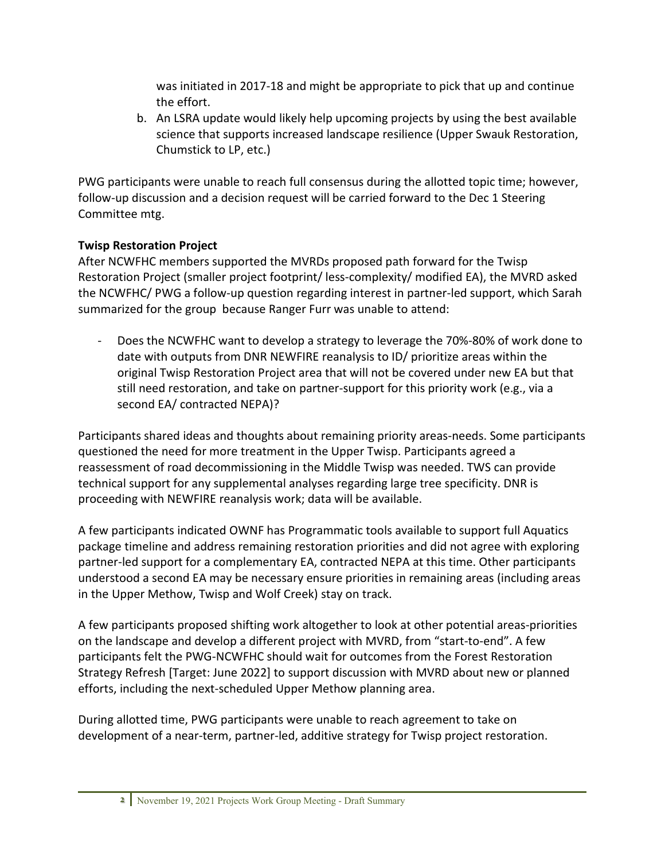was initiated in 2017-18 and might be appropriate to pick that up and continue the effort.

b. An LSRA update would likely help upcoming projects by using the best available science that supports increased landscape resilience (Upper Swauk Restoration, Chumstick to LP, etc.)

PWG participants were unable to reach full consensus during the allotted topic time; however, follow-up discussion and a decision request will be carried forward to the Dec 1 Steering Committee mtg.

## **Twisp Restoration Project**

After NCWFHC members supported the MVRDs proposed path forward for the Twisp Restoration Project (smaller project footprint/ less-complexity/ modified EA), the MVRD asked the NCWFHC/ PWG a follow-up question regarding interest in partner-led support, which Sarah summarized for the group because Ranger Furr was unable to attend:

Does the NCWFHC want to develop a strategy to leverage the 70%-80% of work done to date with outputs from DNR NEWFIRE reanalysis to ID/ prioritize areas within the original Twisp Restoration Project area that will not be covered under new EA but that still need restoration, and take on partner-support for this priority work (e.g., via a second EA/ contracted NEPA)?

Participants shared ideas and thoughts about remaining priority areas-needs. Some participants questioned the need for more treatment in the Upper Twisp. Participants agreed a reassessment of road decommissioning in the Middle Twisp was needed. TWS can provide technical support for any supplemental analyses regarding large tree specificity. DNR is proceeding with NEWFIRE reanalysis work; data will be available.

A few participants indicated OWNF has Programmatic tools available to support full Aquatics package timeline and address remaining restoration priorities and did not agree with exploring partner-led support for a complementary EA, contracted NEPA at this time. Other participants understood a second EA may be necessary ensure priorities in remaining areas (including areas in the Upper Methow, Twisp and Wolf Creek) stay on track.

A few participants proposed shifting work altogether to look at other potential areas-priorities on the landscape and develop a different project with MVRD, from "start-to-end". A few participants felt the PWG-NCWFHC should wait for outcomes from the Forest Restoration Strategy Refresh [Target: June 2022] to support discussion with MVRD about new or planned efforts, including the next-scheduled Upper Methow planning area.

During allotted time, PWG participants were unable to reach agreement to take on development of a near-term, partner-led, additive strategy for Twisp project restoration.